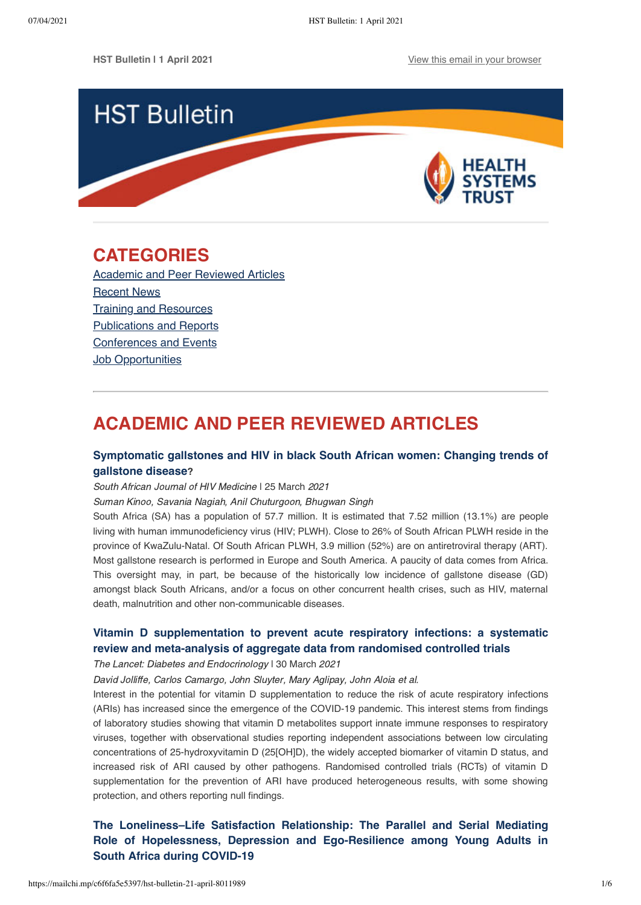

# <span id="page-0-1"></span>**CATEGORIES**

[Academic and Peer Reviewed Articles](#page-0-0) [Recent News](#page-1-0) [Training and Resources](#page-3-0) [Publications and Reports](#page-3-1) [Conferences and Events](#page-4-0) **[Job Opportunities](#page-4-1)** 

# <span id="page-0-0"></span>**ACADEMIC AND PEER REVIEWED ARTICLES**

## **[Symptomatic gallstones and HIV in black South African women: Changing trends of](https://sajhivmed.org.za/index.php/hivmed/article/view/1208/2354) gallstone disease?**

South African Journal of HIV Medicine | 25 March 2021

Suman Kinoo, Savania Nagiah, Anil Chuturgoon, Bhugwan Singh

South Africa (SA) has a population of 57.7 million. It is estimated that 7.52 million (13.1%) are people living with human immunodeficiency virus (HIV; PLWH). Close to 26% of South African PLWH reside in the province of KwaZulu-Natal. Of South African PLWH, 3.9 million (52%) are on antiretroviral therapy (ART). Most gallstone research is performed in Europe and South America. A paucity of data comes from Africa. This oversight may, in part, be because of the historically low incidence of gallstone disease (GD) amongst black South Africans, and/or a focus on other concurrent health crises, such as HIV, maternal death, malnutrition and other non-communicable diseases.

## **[Vitamin D supplementation to prevent acute respiratory infections: a systematic](https://www.thelancet.com/journals/landia/article/PIIS2213-8587(21)00051-6/fulltext) review and meta-analysis of aggregate data from randomised controlled trials**

The Lancet: Diabetes and Endocrinology I 30 March 2021

David Jolliffe, Carlos Camargo, John Sluyter, Mary Aglipay, John Aloia et al.

Interest in the potential for vitamin D supplementation to reduce the risk of acute respiratory infections (ARIs) has increased since the emergence of the COVID-19 pandemic. This interest stems from findings of laboratory studies showing that vitamin D metabolites support innate immune responses to respiratory viruses, together with observational studies reporting independent associations between low circulating concentrations of 25-hydroxyvitamin D (25[OH]D), the widely accepted biomarker of vitamin D status, and increased risk of ARI caused by other pathogens. Randomised controlled trials (RCTs) of vitamin D supplementation for the prevention of ARI have produced heterogeneous results, with some showing protection, and others reporting null findings.

**[The Loneliness–Life Satisfaction Relationship: The Parallel and Serial Mediating](https://www.mdpi.com/1660-4601/18/7/3613/htm) Role of Hopelessness, Depression and Ego-Resilience among Young Adults in South Africa during COVID-19**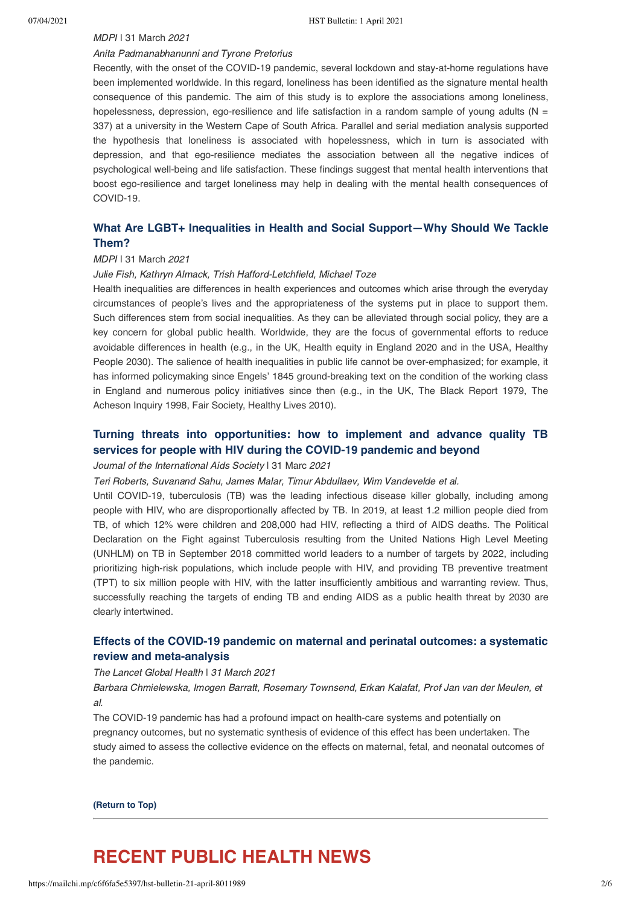## MDPI | 31 March 2021

### Anita Padmanabhanunni and Tyrone Pretorius

Recently, with the onset of the COVID-19 pandemic, several lockdown and stay-at-home regulations have been implemented worldwide. In this regard, loneliness has been identified as the signature mental health consequence of this pandemic. The aim of this study is to explore the associations among loneliness, hopelessness, depression, ego-resilience and life satisfaction in a random sample of young adults ( $N =$ 337) at a university in the Western Cape of South Africa. Parallel and serial mediation analysis supported the hypothesis that loneliness is associated with hopelessness, which in turn is associated with depression, and that ego-resilience mediates the association between all the negative indices of psychological well-being and life satisfaction. These findings suggest that mental health interventions that boost ego-resilience and target loneliness may help in dealing with the mental health consequences of COVID-19.

## **[What Are LGBT+ Inequalities in Health and Social Support—Why Should We Tackle](https://www.mdpi.com/1660-4601/18/7/3612/htm) Them?**

#### MDPI | 31 March 2021

#### Julie Fish, Kathryn Almack, Trish Hafford-Letchfield, Michael Toze

Health inequalities are differences in health experiences and outcomes which arise through the everyday circumstances of people's lives and the appropriateness of the systems put in place to support them. Such differences stem from social inequalities. As they can be alleviated through social policy, they are a key concern for global public health. Worldwide, they are the focus of governmental efforts to reduce avoidable differences in health (e.g., in the UK, Health equity in England 2020 and in the USA, Healthy People 2030). The salience of health inequalities in public life cannot be over-emphasized; for example, it has informed policymaking since Engels' 1845 ground-breaking text on the condition of the working class in England and numerous policy initiatives since then (e.g., in the UK, The Black Report 1979, The Acheson Inquiry 1998, Fair Society, Healthy Lives 2010).

## **[Turning threats into opportunities: how to implement and advance quality TB](https://onlinelibrary.wiley.com/doi/full/10.1002/jia2.25696) services for people with HIV during the COVID‐19 pandemic and beyond**

#### Journal of the International Aids Society | 31 Marc 2021

Teri Roberts, Suvanand Sahu, James Malar, Timur Abdullaev, Wim Vandevelde et al.

Until COVID-19, tuberculosis (TB) was the leading infectious disease killer globally, including among people with HIV, who are disproportionally affected by TB. In 2019, at least 1.2 million people died from TB, of which 12% were children and 208,000 had HIV, reflecting a third of AIDS deaths. The Political Declaration on the Fight against Tuberculosis resulting from the United Nations High Level Meeting (UNHLM) on TB in September 2018 committed world leaders to a number of targets by 2022, including prioritizing high-risk populations, which include people with HIV, and providing TB preventive treatment (TPT) to six million people with HIV, with the latter insufficiently ambitious and warranting review. Thus, successfully reaching the targets of ending TB and ending AIDS as a public health threat by 2030 are clearly intertwined.

## **[Effects of the COVID-19 pandemic on maternal and perinatal outcomes: a systematic](https://www.thelancet.com/journals/langlo/article/PIIS2214-109X(21)00079-6/fulltext?utm_campaign=lancetcovid21&utm_content=160438022&utm_medium=social&utm_source=twitter&hss_channel=tw-27013292) review and meta-analysis**

#### The Lancet Global Health ǀ 31 March 2021

Barbara Chmielewska, Imogen Barratt, Rosemary Townsend, Erkan Kalafat, Prof Jan van der Meulen, et al.

The COVID-19 pandemic has had a profound impact on health-care systems and potentially on pregnancy outcomes, but no systematic synthesis of evidence of this effect has been undertaken. The study aimed to assess the collective evidence on the effects on maternal, fetal, and neonatal outcomes of the pandemic.

**[\(Return to Top\)](#page-0-1)**

# <span id="page-1-0"></span>**RECENT PUBLIC HEALTH NEWS**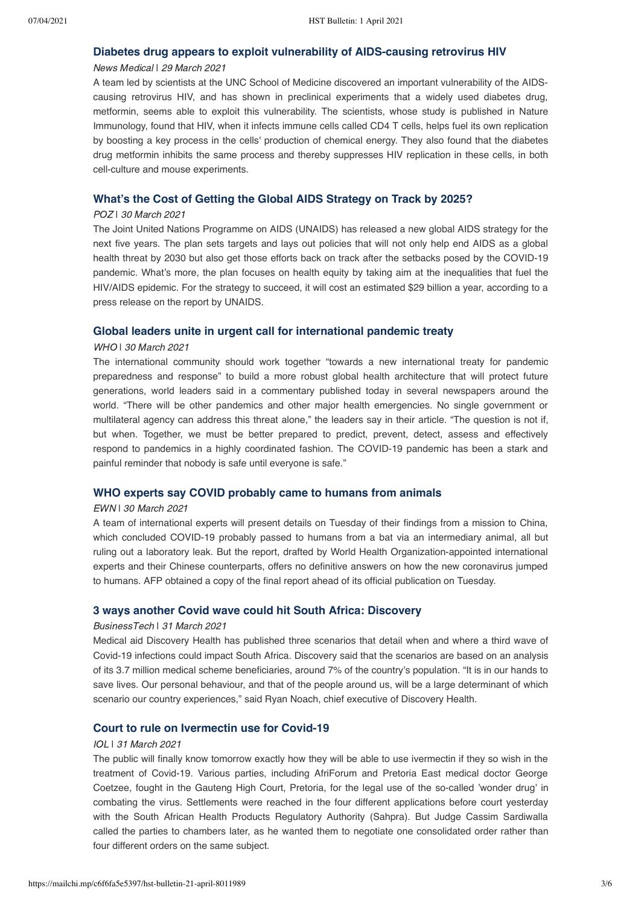## **[Diabetes drug appears to exploit vulnerability of AIDS-causing retrovirus HIV](https://www.news-medical.net/news/20210329/Diabetes-drug-appears-to-exploit-vulnerability-of-AIDS-causing-retrovirus-HIV.aspx)**

## News Medical | 29 March 2021

A team led by scientists at the UNC School of Medicine discovered an important vulnerability of the AIDScausing retrovirus HIV, and has shown in preclinical experiments that a widely used diabetes drug, metformin, seems able to exploit this vulnerability. The scientists, whose study is published in Nature Immunology, found that HIV, when it infects immune cells called CD4 T cells, helps fuel its own replication by boosting a key process in the cells' production of chemical energy. They also found that the diabetes drug metformin inhibits the same process and thereby suppresses HIV replication in these cells, in both cell-culture and mouse experiments.

## **[What's the Cost of Getting the Global AIDS Strategy on Track by 2025?](https://www.poz.com/article/cost-getting-global-aids-strategy-track-2025)**

## POZ | 30 March 2021

The Joint United Nations Programme on AIDS (UNAIDS) has released a new global AIDS strategy for the next five years. The plan sets targets and lays out policies that will not only help end AIDS as a global health threat by 2030 but also get those efforts back on track after the setbacks posed by the COVID-19 pandemic. What's more, the plan focuses on health equity by taking aim at the inequalities that fuel the HIV/AIDS epidemic. For the strategy to succeed, it will cost an estimated \$29 billion a year, according to a press release on the report by UNAIDS.

## **[Global leaders unite in urgent call for international pandemic treaty](https://www.who.int/news/item/30-03-2021-global-leaders-unite-in-urgent-call-for-international-pandemic-treaty)**

## WHO | 30 March 2021

The international community should work together "towards a new international treaty for pandemic preparedness and response" to build a more robust global health architecture that will protect future generations, world leaders said in a commentary published today in several newspapers around the world. "There will be other pandemics and other major health emergencies. No single government or multilateral agency can address this threat alone," the leaders say in their article. "The question is not if, but when. Together, we must be better prepared to predict, prevent, detect, assess and effectively respond to pandemics in a highly coordinated fashion. The COVID-19 pandemic has been a stark and painful reminder that nobody is safe until everyone is safe."

## **[WHO experts say COVID probably came to humans from animals](https://ewn.co.za/2021/03/30/who-experts-say-covid-probably-came-to-humans-from-animals)**

### EWN | 30 March 2021

A team of international experts will present details on Tuesday of their findings from a mission to China, which concluded COVID-19 probably passed to humans from a bat via an intermediary animal, all but ruling out a laboratory leak. But the report, drafted by World Health Organization-appointed international experts and their Chinese counterparts, offers no definitive answers on how the new coronavirus jumped to humans. AFP obtained a copy of the final report ahead of its official publication on Tuesday.

## **[3 ways another Covid wave could hit South Africa: Discovery](https://businesstech.co.za/news/trending/479859/3-ways-another-covid-wave-could-hit-south-africa-discovery/)**

## BusinessTech | 31 March 2021

Medical aid Discovery Health has published three scenarios that detail when and where a third wave of Covid-19 infections could impact South Africa. Discovery said that the scenarios are based on an analysis of its 3.7 million medical scheme beneficiaries, around 7% of the country's population. "It is in our hands to save lives. Our personal behaviour, and that of the people around us, will be a large determinant of which scenario our country experiences," said Ryan Noach, chief executive of Discovery Health.

## **[Court to rule on Ivermectin use for Covid-19](https://www.iol.co.za/pretoria-news/news/court-to-rule-on-ivermectin-use-for-covid-19-7a0f2058-c0ba-4ffc-b91d-0ee18513bf75)**

### IOL | 31 March 2021

The public will finally know tomorrow exactly how they will be able to use ivermectin if they so wish in the treatment of Covid-19. Various parties, including AfriForum and Pretoria East medical doctor George Coetzee, fought in the Gauteng High Court, Pretoria, for the legal use of the so-called 'wonder drug' in combating the virus. Settlements were reached in the four different applications before court yesterday with the South African Health Products Regulatory Authority (Sahpra). But Judge Cassim Sardiwalla called the parties to chambers later, as he wanted them to negotiate one consolidated order rather than four different orders on the same subject.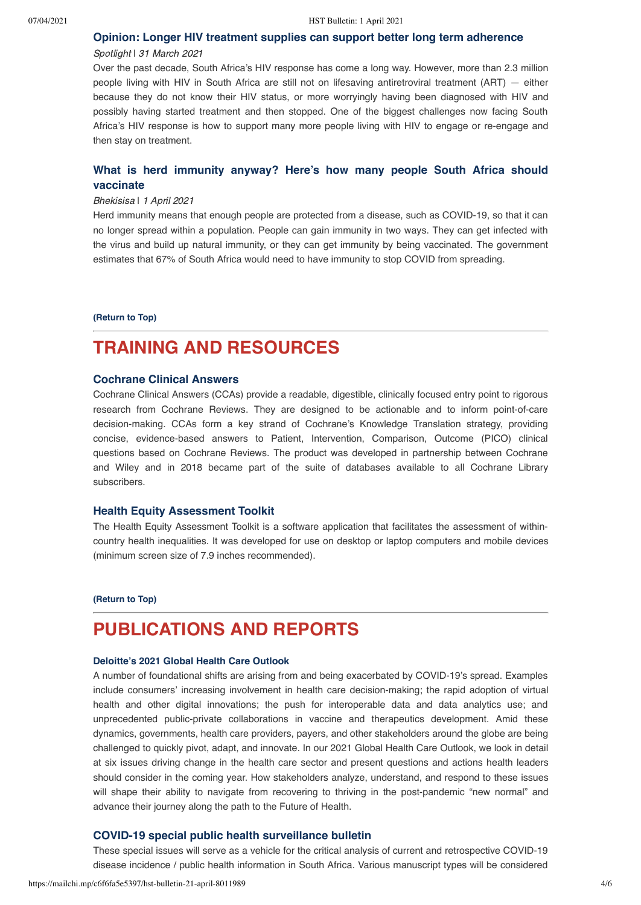## **[Opinion: Longer HIV treatment supplies can support better long term adherence](https://www.spotlightnsp.co.za/2021/03/31/opinion-longer-hiv-treatment-supplies-can-support-better-long-term-adherence/)**

### Spotlight | 31 March 2021

Over the past decade, South Africa's HIV response has come a long way. However, more than 2.3 million people living with HIV in South Africa are still not on lifesaving antiretroviral treatment (ART) — either because they do not know their HIV status, or more worryingly having been diagnosed with HIV and possibly having started treatment and then stopped. One of the biggest challenges now facing South Africa's HIV response is how to support many more people living with HIV to engage or re-engage and then stay on treatment.

## **[What is herd immunity anyway? Here's how many people South Africa should](https://bhekisisa.org/multimedia/2021-04-01-what-is-herd-immunity-anyway-heres-how-many-people-south-africa-should-vaccinate/) vaccinate**

#### Bhekisisa | 1 April 2021

Herd immunity means that enough people are protected from a disease, such as COVID-19, so that it can no longer spread within a population. People can gain immunity in two ways. They can get infected with the virus and build up natural immunity, or they can get immunity by being vaccinated. The government estimates that 67% of South Africa would need to have immunity to stop COVID from spreading.

**[\(Return to Top\)](#page-0-1)**

# <span id="page-3-0"></span>**TRAINING AND RESOURCES**

## **[Cochrane Clinical Answers](https://www.cochranelibrary.com/cca/about)**

Cochrane Clinical Answers (CCAs) provide a readable, digestible, clinically focused entry point to rigorous research from Cochrane Reviews. They are designed to be actionable and to inform point-of-care decision-making. CCAs form a key strand of Cochrane's Knowledge Translation strategy, providing concise, evidence-based answers to Patient, Intervention, Comparison, Outcome (PICO) clinical questions based on Cochrane Reviews. The product was developed in partnership between Cochrane and Wiley and in 2018 became part of the suite of databases available to all Cochrane Library subscribers.

## **[Health Equity Assessment Toolkit](https://www.who.int/data/gho/health-equity/assessment_toolkit)**

The Health Equity Assessment Toolkit is a software application that facilitates the assessment of withincountry health inequalities. It was developed for use on desktop or laptop computers and mobile devices (minimum screen size of 7.9 inches recommended).

#### **[\(Return to Top\)](#page-0-1)**

# <span id="page-3-1"></span>**PUBLICATIONS AND REPORTS**

### **[Deloitte's 2021 Global Health Care Outlook](https://www2.deloitte.com/global/en/pages/life-sciences-and-healthcare/articles/global-health-care-sector-outlook.html)**

A number of foundational shifts are arising from and being exacerbated by COVID-19's spread. Examples include consumers' increasing involvement in health care decision-making; the rapid adoption of virtual health and other digital innovations; the push for interoperable data and data analytics use; and unprecedented public-private collaborations in vaccine and therapeutics development. Amid these dynamics, governments, health care providers, payers, and other stakeholders around the globe are being challenged to quickly pivot, adapt, and innovate. In our 2021 Global Health Care Outlook, we look in detail at six issues driving change in the health care sector and present questions and actions health leaders should consider in the coming year. How stakeholders analyze, understand, and respond to these issues will shape their ability to navigate from recovering to thriving in the post-pandemic "new normal" and advance their journey along the path to the Future of Health.

## **[COVID-19 special public health surveillance bulletin](https://www.nicd.ac.za/diseases-a-z-index/covid-19/surveillance-reports/special-public-health-surveillance-bulletin/)**

These special issues will serve as a vehicle for the critical analysis of current and retrospective COVID-19 disease incidence / public health information in South Africa. Various manuscript types will be considered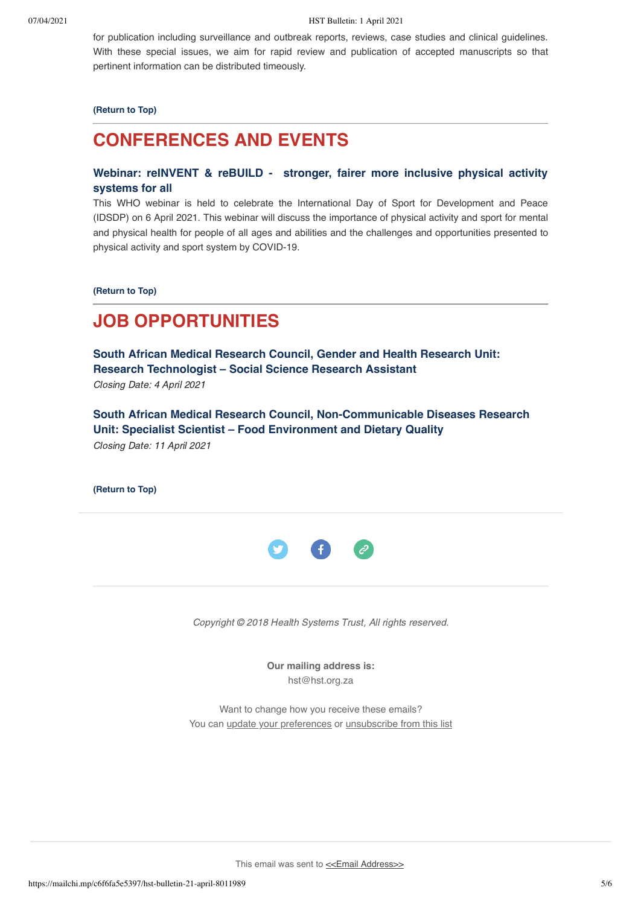for publication including surveillance and outbreak reports, reviews, case studies and clinical guidelines. With these special issues, we aim for rapid review and publication of accepted manuscripts so that pertinent information can be distributed timeously.

## **[\(Return to Top\)](#page-0-1)**

# <span id="page-4-0"></span>**CONFERENCES AND EVENTS**

## **Webinar: reINVENT & reBUILD - [stronger, fairer more inclusive physical activity](https://www.who.int/news-room/events/detail/2021/04/06/default-calendar/webinar-reinvent-rebuild-stronger-fairer-more-inclusive-physical-activity-systems-for-all) systems for all**

This WHO webinar is held to celebrate the International Day of Sport for Development and Peace (IDSDP) on 6 April 2021. This webinar will discuss the importance of physical activity and sport for mental and physical health for people of all ages and abilities and the challenges and opportunities presented to physical activity and sport system by COVID-19.

**[\(Return to Top\)](#page-0-1)**

# <span id="page-4-1"></span>**JOB OPPORTUNITIES**

**[South African Medical Research Council, Gender and Health Research Unit:](https://www.samrc.ac.za/job-opportunities) Research Technologist – Social Science Research Assistant** Closing Date: 4 April 2021

**[South African Medical Research Council, Non-Communicable Diseases Research](https://www.samrc.ac.za/job-opportunities) Unit: Specialist Scientist – Food Environment and Dietary Quality** Closing Date: 11 April 2021

**[\(Return to Top\)](#page-0-1)**



Copyright © 2018 Health Systems Trust, All rights reserved.

**Our mailing address is:**

hst@hst.org.za

Want to change how you receive these emails? You can [update your preferences](https://hst.us14.list-manage.com/profile?u=72d7614ab973e486252cafb97&id=ac4ca52ce0&e=[UNIQID]&c=12495508ca) or [unsubscribe from this list](https://hst.us14.list-manage.com/unsubscribe?u=72d7614ab973e486252cafb97&id=ac4ca52ce0&e=[UNIQID]&c=12495508ca)